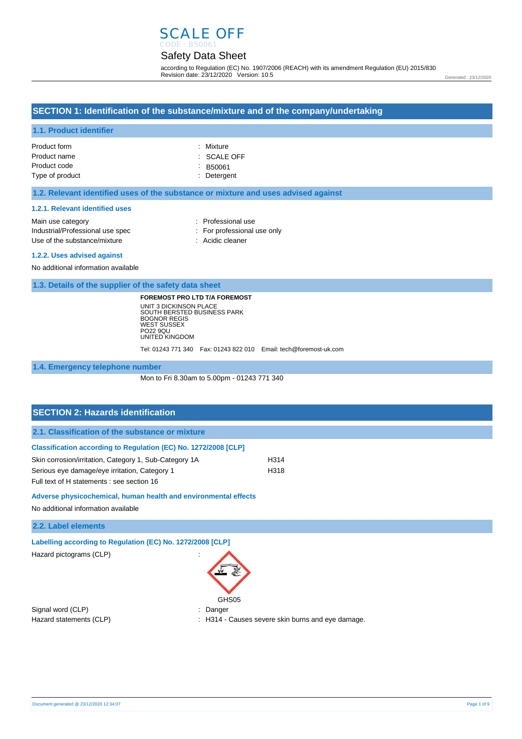# SCALE OFF

# Safety Data Sheet

according to Regulation (EC) No. 1907/2006 (REACH) with its amendment Regulation (EU) 2015/830 Revision date: 23/12/2020 Version: 10.5

Generated : 23/12/2020

# **SECTION 1: Identification of the substance/mixture and of the company/undertaking**

#### **1.1. Product identifier**

| Product form    | : Mixture              |
|-----------------|------------------------|
| Product name    | $\therefore$ SCALE OFF |
| Product code    | $\therefore$ B50061    |
| Type of product | : Detergent            |

#### **1.2. Relevant identified uses of the substance or mixture and uses advised against**

#### **1.2.1. Relevant identified uses**

| Main use category                | : Professional use          |
|----------------------------------|-----------------------------|
| Industrial/Professional use spec | : For professional use only |
| Use of the substance/mixture     | : Acidic cleaner            |
|                                  |                             |

#### **1.2.2. Uses advised against**

No additional information available

**1.3. Details of the supplier of the safety data sheet**

**FOREMOST PRO LTD T/A FOREMOST** UNIT 3 DICKINSON PLACE SOUTH BERSTED BUSINESS PARK BOGNOR REGIS WEST SUSSEX PO22 9QU UNITED KINGDOM

Tel: 01243 771 340 Fax: 01243 822 010 Email: tech@foremost-uk.com

#### **1.4. Emergency telephone number**

Mon to Fri 8.30am to 5.00pm - 01243 771 340

| <b>SECTION 2: Hazards identification</b>                        |      |
|-----------------------------------------------------------------|------|
| 2.1. Classification of the substance or mixture                 |      |
| Classification according to Regulation (EC) No. 1272/2008 [CLP] |      |
| Skin corrosion/irritation, Category 1, Sub-Category 1A          | H314 |
| Serious eye damage/eye irritation, Category 1                   | H318 |
| Full text of H statements : see section 16                      |      |
| Adverse physicochemical, human health and environmental effects |      |
| No additional information available                             |      |

#### **2.2. Label elements**

**Labelling according to Regulation (EC) No. 1272/2008 [CLP]** 

Hazard pictograms (CLP) :

Signal word (CLP) **in the set of the Signal word (CLP)** and the set of the set of the Signal and the Signal and Si



Hazard statements (CLP) : H314 - Causes severe skin burns and eye damage.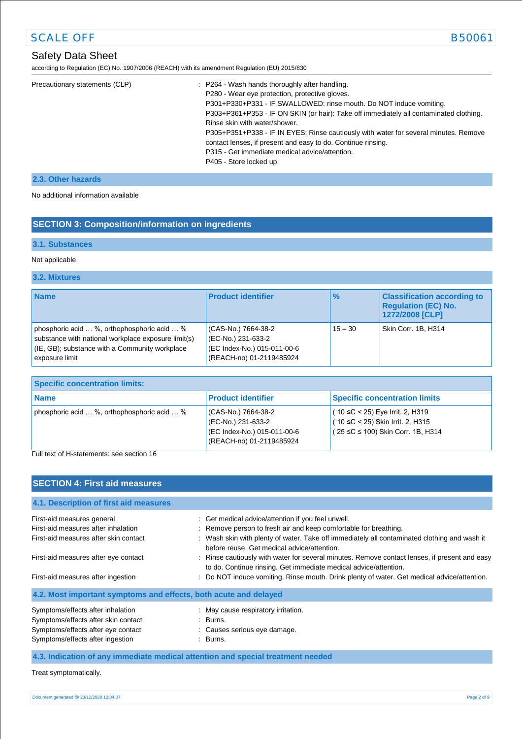# Safety Data Sheet

according to Regulation (EC) No. 1907/2006 (REACH) with its amendment Regulation (EU) 2015/830

| Precautionary statements (CLP) | : P264 - Wash hands thoroughly after handling.<br>P280 - Wear eye protection, protective gloves.<br>P301+P330+P331 - IF SWALLOWED: rinse mouth. Do NOT induce vomiting.<br>P303+P361+P353 - IF ON SKIN (or hair): Take off immediately all contaminated clothing.<br>Rinse skin with water/shower.<br>P305+P351+P338 - IF IN EYES: Rinse cautiously with water for several minutes. Remove<br>contact lenses, if present and easy to do. Continue rinsing.<br>P315 - Get immediate medical advice/attention.<br>P405 - Store locked up. |
|--------------------------------|-----------------------------------------------------------------------------------------------------------------------------------------------------------------------------------------------------------------------------------------------------------------------------------------------------------------------------------------------------------------------------------------------------------------------------------------------------------------------------------------------------------------------------------------|
|--------------------------------|-----------------------------------------------------------------------------------------------------------------------------------------------------------------------------------------------------------------------------------------------------------------------------------------------------------------------------------------------------------------------------------------------------------------------------------------------------------------------------------------------------------------------------------------|

#### **2.3. Other hazards**

No additional information available

### **SECTION 3: Composition/information on ingredients**

### **3.1. Substances**

#### Not applicable

#### **3.2. Mixtures**

| <b>Name</b>                                                                                                                                                                | <b>Product identifier</b>                                                                            | $\%$      | <b>Classification according to</b><br><b>Regulation (EC) No.</b><br>1272/2008 [CLP] |
|----------------------------------------------------------------------------------------------------------------------------------------------------------------------------|------------------------------------------------------------------------------------------------------|-----------|-------------------------------------------------------------------------------------|
| phosphoric acid  %, orthophosphoric acid  %<br>substance with national workplace exposure limit(s)<br>$ $ (IE, GB); substance with a Community workplace<br>exposure limit | (CAS-No.) 7664-38-2<br>(EC-No.) 231-633-2<br>(EC Index-No.) 015-011-00-6<br>(REACH-no) 01-2119485924 | $15 - 30$ | Skin Corr. 1B, H314                                                                 |

| Specific concentration limits:                              |                                                                                                     |                                                                                                                   |  |
|-------------------------------------------------------------|-----------------------------------------------------------------------------------------------------|-------------------------------------------------------------------------------------------------------------------|--|
| <b>Name</b>                                                 | <b>Product identifier</b>                                                                           | <b>Specific concentration limits</b>                                                                              |  |
| phosphoric acid $\ldots$ %, orthophosphoric acid $\ldots$ % | CAS-No.) 7664-38-2<br>(EC-No.) 231-633-2<br>(EC Index-No.) 015-011-00-6<br>(REACH-no) 01-2119485924 | $(10 ≤ C < 25)$ Eye Irrit. 2, H319<br>$(10 ≤ C < 25)$ Skin Irrit. 2, H315<br>$(25 ≤ C ≤ 100)$ Skin Corr. 1B, H314 |  |

Full text of H-statements: see section 16

### **SECTION 4: First aid measures**

| 4.1. Description of first aid measures                           |                                                                                                                                                                   |
|------------------------------------------------------------------|-------------------------------------------------------------------------------------------------------------------------------------------------------------------|
| First-aid measures general                                       | : Get medical advice/attention if you feel unwell.                                                                                                                |
| First-aid measures after inhalation                              | : Remove person to fresh air and keep comfortable for breathing.                                                                                                  |
| First-aid measures after skin contact                            | : Wash skin with plenty of water. Take off immediately all contaminated clothing and wash it<br>before reuse. Get medical advice/attention.                       |
| First-aid measures after eye contact                             | : Rinse cautiously with water for several minutes. Remove contact lenses, if present and easy<br>to do. Continue rinsing. Get immediate medical advice/attention. |
| First-aid measures after ingestion                               | : Do NOT induce vomiting. Rinse mouth. Drink plenty of water. Get medical advice/attention.                                                                       |
| 4.2. Most important symptoms and effects, both acute and delayed |                                                                                                                                                                   |
| Symptoms/effects after inhalation                                | : May cause respiratory irritation.                                                                                                                               |
| Symptoms/effects after skin contact                              | : Burns.                                                                                                                                                          |
| Symptoms/effects after eye contact                               | : Causes serious eye damage.                                                                                                                                      |
| Symptoms/effects after ingestion                                 | : Burns.                                                                                                                                                          |

### **4.3. Indication of any immediate medical attention and special treatment needed**

Treat symptomatically.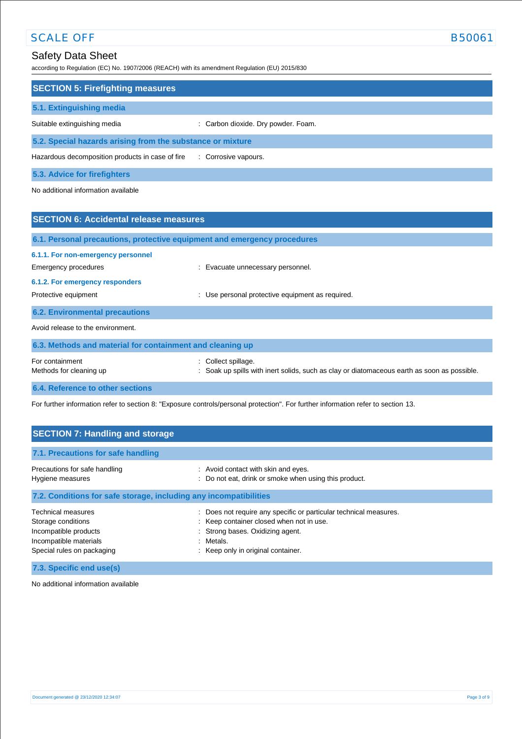according to Regulation (EC) No. 1907/2006 (REACH) with its amendment Regulation (EU) 2015/830

| <b>SECTION 5: Firefighting measures</b>                    |                                     |  |
|------------------------------------------------------------|-------------------------------------|--|
| 5.1. Extinguishing media                                   |                                     |  |
| Suitable extinguishing media                               | : Carbon dioxide. Dry powder. Foam. |  |
| 5.2. Special hazards arising from the substance or mixture |                                     |  |
| Hazardous decomposition products in case of fire           | : Corrosive vapours.                |  |

**5.3. Advice for firefighters**

No additional information available

| <b>SECTION 6: Accidental release measures</b>                              |                                                                                                                     |  |  |
|----------------------------------------------------------------------------|---------------------------------------------------------------------------------------------------------------------|--|--|
|                                                                            | 6.1. Personal precautions, protective equipment and emergency procedures                                            |  |  |
| 6.1.1. For non-emergency personnel<br>Emergency procedures                 | : Evacuate unnecessary personnel.                                                                                   |  |  |
| 6.1.2. For emergency responders<br>Protective equipment                    | Use personal protective equipment as required.<br>÷                                                                 |  |  |
| <b>6.2. Environmental precautions</b><br>Avoid release to the environment. |                                                                                                                     |  |  |
| 6.3. Methods and material for containment and cleaning up                  |                                                                                                                     |  |  |
| For containment<br>Methods for cleaning up                                 | Collect spillage.<br>÷<br>Soak up spills with inert solids, such as clay or diatomaceous earth as soon as possible. |  |  |
| 6.4. Reference to other sections                                           |                                                                                                                     |  |  |

For further information refer to section 8: "Exposure controls/personal protection". For further information refer to section 13.

| <b>SECTION 7: Handling and storage</b>                                                                                           |                                                                                                                                                                                                         |  |  |
|----------------------------------------------------------------------------------------------------------------------------------|---------------------------------------------------------------------------------------------------------------------------------------------------------------------------------------------------------|--|--|
| 7.1. Precautions for safe handling                                                                                               |                                                                                                                                                                                                         |  |  |
| Precautions for safe handling<br>Hygiene measures                                                                                | : Avoid contact with skin and eyes.<br>Do not eat, drink or smoke when using this product.                                                                                                              |  |  |
| 7.2. Conditions for safe storage, including any incompatibilities                                                                |                                                                                                                                                                                                         |  |  |
| <b>Technical measures</b><br>Storage conditions<br>Incompatible products<br>Incompatible materials<br>Special rules on packaging | Does not require any specific or particular technical measures.<br>÷.<br>: Keep container closed when not in use.<br>Strong bases. Oxidizing agent.<br>Metals.<br>٠<br>Keep only in original container. |  |  |

**7.3. Specific end use(s)**

No additional information available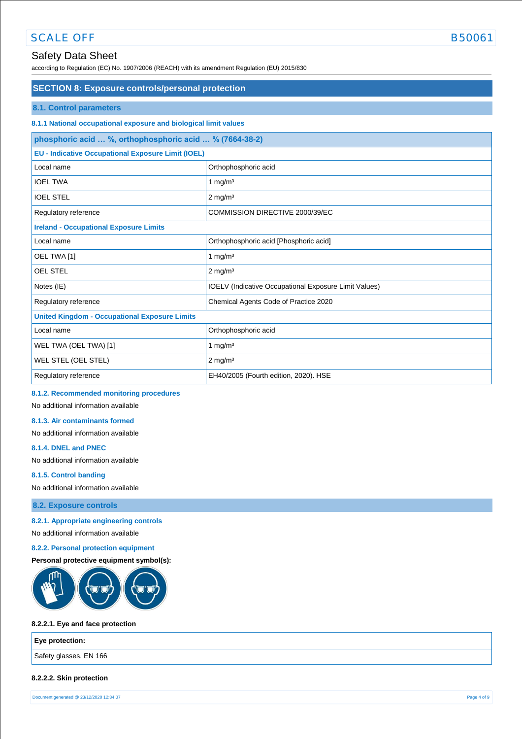# Safety Data Sheet

according to Regulation (EC) No. 1907/2006 (REACH) with its amendment Regulation (EU) 2015/830

# **SECTION 8: Exposure controls/personal protection 8.1. Control parameters 8.1.1 National occupational exposure and biological limit values phosphoric acid … %, orthophosphoric acid … % (7664-38-2) EU - Indicative Occupational Exposure Limit (IOEL)** Local name **Contract Contract Contract Contract Contract Contract Contract Contract Contract Contract Contract Contract Contract Contract Contract Contract Contract Contract Contract Contract Contract Contract Contract Con** IOEL TWA 1 mg/m<sup>3</sup> IOEL STEL 2 mg/m<sup>3</sup> Regulatory reference <br>
COMMISSION DIRECTIVE 2000/39/EC **Ireland - Occupational Exposure Limits** Local name  $\vert$  Orthophosphoric acid [Phosphoric acid] OEL TWA  $[1]$  1 mg/m<sup>3</sup> OEL STEL 2 mg/m<sup>3</sup> Notes (IE) **IOELV** (Indicative Occupational Exposure Limit Values)

| Regulatory reference                                 | Chemical Agents Code of Practice 2020 |  |
|------------------------------------------------------|---------------------------------------|--|
| <b>United Kingdom - Occupational Exposure Limits</b> |                                       |  |
| Local name                                           | Orthophosphoric acid                  |  |
| WEL TWA (OEL TWA) [1]                                | mq/m <sup>3</sup>                     |  |
| <b>WEL STEL (OEL STEL)</b>                           | $2 \text{ mg/m}^3$                    |  |
| Regulatory reference                                 | EH40/2005 (Fourth edition, 2020). HSE |  |

### **8.1.2. Recommended monitoring procedures**

No additional information available

#### **8.1.3. Air contaminants formed**

No additional information available

#### **8.1.4. DNEL and PNEC**

No additional information available

### **8.1.5. Control banding**

No additional information available

#### **8.2. Exposure controls**

**8.2.1. Appropriate engineering controls** 

No additional information available

### **8.2.2. Personal protection equipment**

### **Personal protective equipment symbol(s):**



#### **8.2.2.1. Eye and face protection**

| Eye protection:        |  |
|------------------------|--|
| Safety glasses. EN 166 |  |
|                        |  |

### **8.2.2.2. Skin protection**

Document generated @ 23/12/2020 12:34:07 Page 4 of 9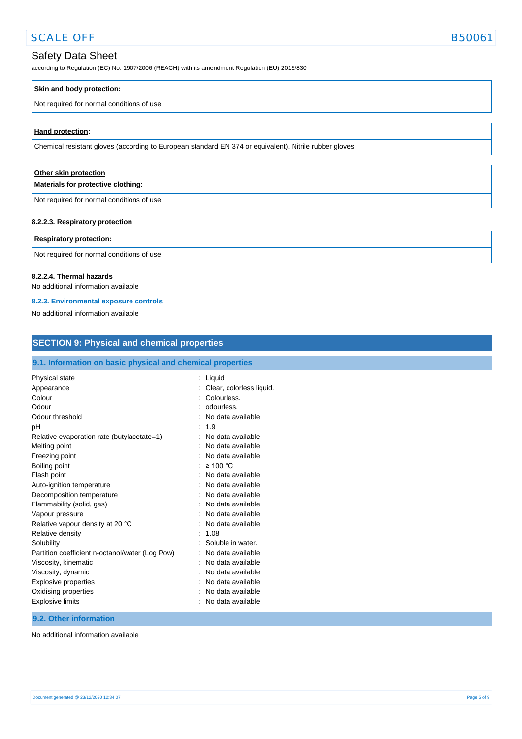# Safety Data Sheet

according to Regulation (EC) No. 1907/2006 (REACH) with its amendment Regulation (EU) 2015/830

#### **Skin and body protection:**

#### Not required for normal conditions of use

#### **Hand protection:**

Chemical resistant gloves (according to European standard EN 374 or equivalent). Nitrile rubber gloves

#### **Other skin protection Materials for protective clothing:**

Not required for normal conditions of use

#### **8.2.2.3. Respiratory protection**

#### **Respiratory protection:**

Not required for normal conditions of use

#### **8.2.2.4. Thermal hazards**

No additional information available

#### **8.2.3. Environmental exposure controls**

No additional information available

| <b>SECTION 9: Physical and chemical properties</b>                                                                                                                                                                                                                                                                                                                                                                                                                                                                         |                                                                                                                                                                                                                                                                                                                                                                                                                                                                                      |  |
|----------------------------------------------------------------------------------------------------------------------------------------------------------------------------------------------------------------------------------------------------------------------------------------------------------------------------------------------------------------------------------------------------------------------------------------------------------------------------------------------------------------------------|--------------------------------------------------------------------------------------------------------------------------------------------------------------------------------------------------------------------------------------------------------------------------------------------------------------------------------------------------------------------------------------------------------------------------------------------------------------------------------------|--|
| 9.1. Information on basic physical and chemical properties                                                                                                                                                                                                                                                                                                                                                                                                                                                                 |                                                                                                                                                                                                                                                                                                                                                                                                                                                                                      |  |
| Physical state<br>Appearance<br>Colour<br>Odour<br>Odour threshold<br>pH<br>Relative evaporation rate (butylacetate=1)<br>Melting point<br>Freezing point<br>Boiling point<br>Flash point<br>Auto-ignition temperature<br>Decomposition temperature<br>Flammability (solid, gas)<br>Vapour pressure<br>Relative vapour density at 20 °C<br>Relative density<br>Solubility<br>Partition coefficient n-octanol/water (Log Pow)<br>Viscosity, kinematic<br>Viscosity, dynamic<br>Explosive properties<br>Oxidising properties | : Liquid<br>Clear, colorless liquid.<br>Colourless.<br>odourless.<br>No data available<br>1.9<br>$\ddot{\phantom{a}}$<br>No data available<br>No data available<br>No data available<br>$\geq 100$ °C<br>No data available<br>No data available<br>No data available<br>No data available<br>No data available<br>No data available<br>1.08<br>Soluble in water.<br>$\cdot$<br>No data available<br>No data available<br>No data available<br>No data available<br>No data available |  |
| <b>Explosive limits</b>                                                                                                                                                                                                                                                                                                                                                                                                                                                                                                    | No data available                                                                                                                                                                                                                                                                                                                                                                                                                                                                    |  |

#### **9.2. Other information**

No additional information available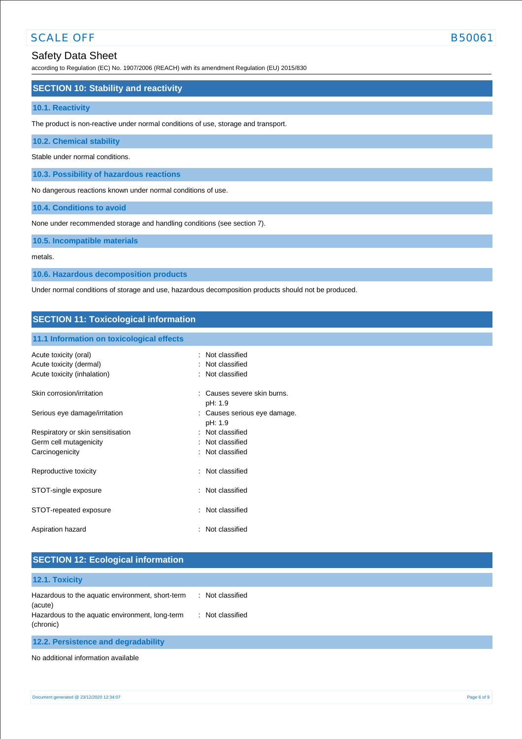according to Regulation (EC) No. 1907/2006 (REACH) with its amendment Regulation (EU) 2015/830

### **SECTION 10: Stability and reactivity**

#### **10.1. Reactivity**

The product is non-reactive under normal conditions of use, storage and transport.

#### **10.2. Chemical stability**

Stable under normal conditions.

**10.3. Possibility of hazardous reactions**

No dangerous reactions known under normal conditions of use.

**10.4. Conditions to avoid**

None under recommended storage and handling conditions (see section 7).

**10.5. Incompatible materials**

metals.

**10.6. Hazardous decomposition products**

Under normal conditions of storage and use, hazardous decomposition products should not be produced.

#### **SECTION 11: Toxicological information**

#### **11.1 Information on toxicological effects**

| Acute toxicity (oral)<br>Acute toxicity (dermal)<br>Acute toxicity (inhalation) | Not classified<br>Not classified<br>: Not classified |
|---------------------------------------------------------------------------------|------------------------------------------------------|
| Skin corrosion/irritation                                                       | Causes severe skin burns.<br>۰<br>pH: 1.9            |
| Serious eye damage/irritation                                                   | : Causes serious eye damage.<br>pH: 1.9              |
| Respiratory or skin sensitisation                                               | : Not classified                                     |
| Germ cell mutagenicity                                                          | : Not classified                                     |
| Carcinogenicity                                                                 | : Not classified                                     |
| Reproductive toxicity                                                           | : Not classified                                     |
| STOT-single exposure                                                            | : Not classified                                     |
| STOT-repeated exposure                                                          | : Not classified                                     |
| Aspiration hazard                                                               | : Not classified                                     |

| <b>SECTION 12: Ecological information</b>                    |                                  |  |
|--------------------------------------------------------------|----------------------------------|--|
| 12.1. Toxicity                                               |                                  |  |
| Hazardous to the aquatic environment, short-term<br>(acute)  | Not classified<br>$\mathbb{R}^n$ |  |
| Hazardous to the aquatic environment, long-term<br>(chronic) | Not classified<br>÷              |  |

No additional information available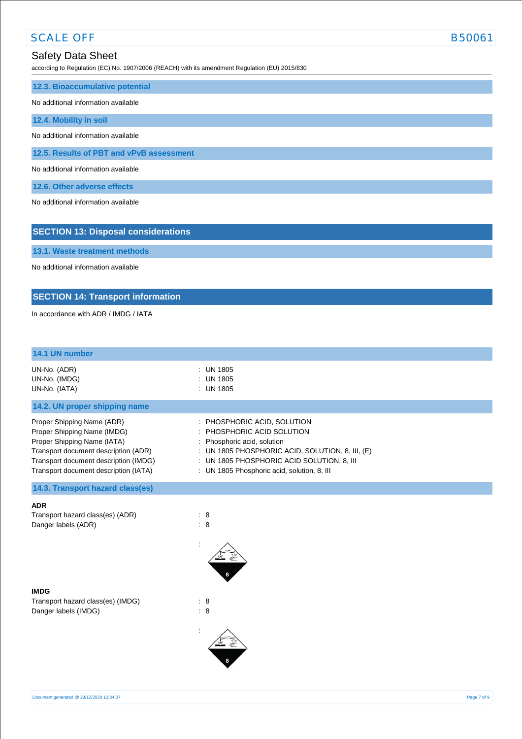according to Regulation (EC) No. 1907/2006 (REACH) with its amendment Regulation (EU) 2015/830

| 12.3. Bioaccumulative potential          |
|------------------------------------------|
| No additional information available      |
| 12.4. Mobility in soil                   |
| No additional information available      |
| 12.5. Results of PBT and vPvB assessment |
| No additional information available      |
| 12.6. Other adverse effects              |

No additional information available

**13.1. Waste treatment methods**

**SECTION 13: Disposal considerations**

| No additional information available      |                                        |  |
|------------------------------------------|----------------------------------------|--|
|                                          |                                        |  |
| <b>SECTION 14: Transport information</b> |                                        |  |
| In accordance with ADR / IMDG / IATA     |                                        |  |
|                                          |                                        |  |
|                                          |                                        |  |
|                                          |                                        |  |
| 14.1 UN number                           |                                        |  |
| UN-No. (ADR)                             | : UN 1805                              |  |
| UN-No. (IMDG)                            | : UN 1805                              |  |
| UN-No. (IATA)                            | : UN 1805                              |  |
|                                          |                                        |  |
| 14.2. UN proper shipping name            |                                        |  |
| <b>Proper Shinning Name (ADR)</b>        | PHOSPHORIC ACID SOLLITION<br>$\bullet$ |  |

| Proper Shipping Name (ADR)<br>Proper Shipping Name (IMDG) | : PHOSPHORIC ACID, SOLUTION<br>: PHOSPHORIC ACID SOLUTION |
|-----------------------------------------------------------|-----------------------------------------------------------|
| Proper Shipping Name (IATA)                               | : Phosphoric acid, solution                               |
| Transport document description (ADR)                      | : UN 1805 PHOSPHORIC ACID, SOLUTION, 8, III, (E)          |
| Transport document description (IMDG)                     | : UN 1805 PHOSPHORIC ACID SOLUTION, 8, III                |
| Transport document description (IATA)                     | : UN 1805 Phosphoric acid, solution, 8, III               |

# **14.3. Transport hazard class(es)**

#### **ADR**

Transport hazard class(es) (ADR) : 8 Danger labels (ADR) : 8



Transport hazard class(es) (IMDG) : 8 Danger labels (IMDG) : 8



: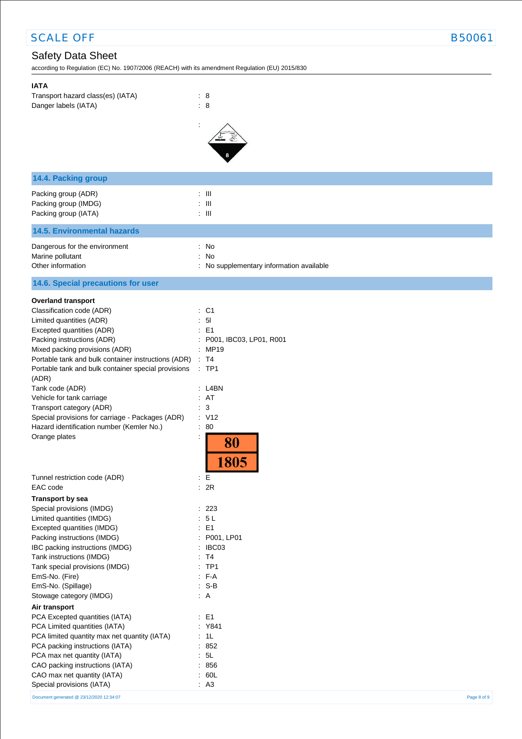# Safety Data Sheet

according to Regulation (EC) No. 1907/2006 (REACH) with its amendment Regulation (EU) 2015/830

Special provisions (IATA) : A3

| <b>IATA</b><br>Transport hazard class(es) (IATA)<br>Danger labels (IATA)                                                                                                                                                                                                                                                                                                                                                                                                            | $\therefore$ 8<br>$\colon 8$                                                                                                                          |
|-------------------------------------------------------------------------------------------------------------------------------------------------------------------------------------------------------------------------------------------------------------------------------------------------------------------------------------------------------------------------------------------------------------------------------------------------------------------------------------|-------------------------------------------------------------------------------------------------------------------------------------------------------|
| 14.4. Packing group                                                                                                                                                                                                                                                                                                                                                                                                                                                                 |                                                                                                                                                       |
| Packing group (ADR)<br>Packing group (IMDG)<br>Packing group (IATA)                                                                                                                                                                                                                                                                                                                                                                                                                 | $:$ $\mathbb{H}$<br>$\pm$ 111<br>$\pm$ 111                                                                                                            |
| <b>14.5. Environmental hazards</b>                                                                                                                                                                                                                                                                                                                                                                                                                                                  |                                                                                                                                                       |
| Dangerous for the environment<br>Marine pollutant<br>Other information                                                                                                                                                                                                                                                                                                                                                                                                              | : No<br>: No<br>: No supplementary information available                                                                                              |
| 14.6. Special precautions for user                                                                                                                                                                                                                                                                                                                                                                                                                                                  |                                                                                                                                                       |
| <b>Overland transport</b><br>Classification code (ADR)<br>Limited quantities (ADR)<br>Excepted quantities (ADR)<br>Packing instructions (ADR)<br>Mixed packing provisions (ADR)<br>Portable tank and bulk container instructions (ADR)<br>Portable tank and bulk container special provisions<br>(ADR)<br>Tank code (ADR)<br>Vehicle for tank carriage<br>Transport category (ADR)<br>Special provisions for carriage - Packages (ADR)<br>Hazard identification number (Kemler No.) | : C1<br>5 <sub>l</sub><br>÷.<br>$\therefore$ E1<br>: P001, IBC03, LP01, R001<br>: MP19<br>: T4<br>$:$ TP1<br>$:$ L4BN<br>: AT<br>: 3<br>: V12<br>: 80 |
| Orange plates                                                                                                                                                                                                                                                                                                                                                                                                                                                                       | 80<br>1805                                                                                                                                            |
| Tunnel restriction code (ADR)                                                                                                                                                                                                                                                                                                                                                                                                                                                       | : $\mathsf{E}% _{\mathsf{M}}^{\mathsf{H}}(\mathsf{M})$                                                                                                |
| EAC code<br><b>Transport by sea</b>                                                                                                                                                                                                                                                                                                                                                                                                                                                 | : 2R                                                                                                                                                  |
| Special provisions (IMDG)<br>Limited quantities (IMDG)<br>Excepted quantities (IMDG)                                                                                                                                                                                                                                                                                                                                                                                                | $\therefore$ 223<br>: 5L<br>: E1                                                                                                                      |
| Packing instructions (IMDG)<br>IBC packing instructions (IMDG)<br>Tank instructions (IMDG)<br>Tank special provisions (IMDG)<br>EmS-No. (Fire)<br>EmS-No. (Spillage)<br>Stowage category (IMDG)                                                                                                                                                                                                                                                                                     | : P001, LP01<br>: IBC03<br>: T4<br>$:$ TP1<br>$: F-A$<br>$: S-B$<br>$\therefore$ A                                                                    |
| Air transport<br>PCA Excepted quantities (IATA)<br>PCA Limited quantities (IATA)<br>PCA limited quantity max net quantity (IATA)<br>PCA packing instructions (IATA)<br>PCA max net quantity (IATA)<br>CAO packing instructions (IATA)<br>CAO max net quantity (IATA)                                                                                                                                                                                                                | $\therefore$ E1<br>: Y841<br>: 1L<br>: 852<br>: 5L<br>: 856<br>: 60L                                                                                  |